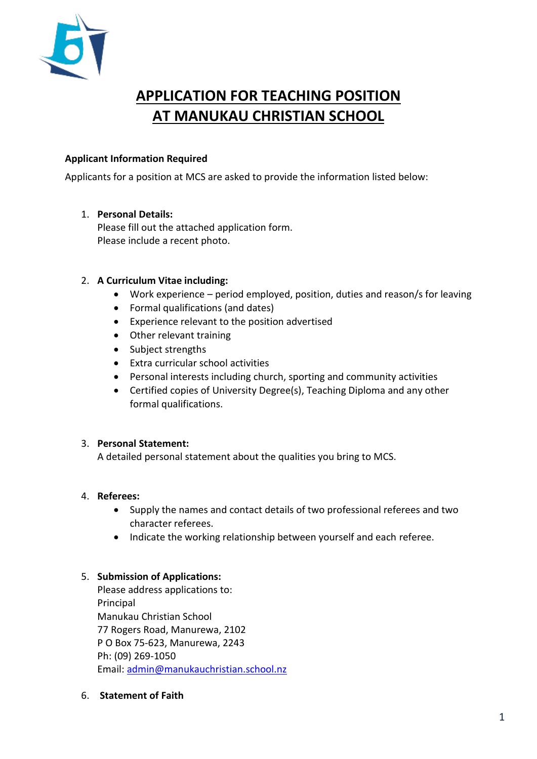

# **APPLICATION FOR TEACHING POSITION AT MANUKAU CHRISTIAN SCHOOL**

## **Applicant Information Required**

Applicants for a position at MCS are asked to provide the information listed below:

## 1. **Personal Details:**

Please fill out the attached application form. Please include a recent photo.

## 2. **A Curriculum Vitae including:**

- Work experience period employed, position, duties and reason/s for leaving
- Formal qualifications (and dates)
- Experience relevant to the position advertised
- Other relevant training
- Subject strengths
- Extra curricular school activities
- Personal interests including church, sporting and community activities
- Certified copies of University Degree(s), Teaching Diploma and any other formal qualifications.

#### 3. **Personal Statement:**

A detailed personal statement about the qualities you bring to MCS.

#### 4. **Referees:**

- Supply the names and contact details of two professional referees and two character referees.
- Indicate the working relationship between yourself and each referee.

#### 5. **Submission of Applications:**

Please address applications to: Principal Manukau Christian School 77 Rogers Road, Manurewa, 2102 P O Box 75-623, Manurewa, 2243 Ph: (09) 269-1050 Email: [admin@manukauchristian.school.nz](mailto:admin@manukauchristian.school.nz)

6. **Statement of Faith**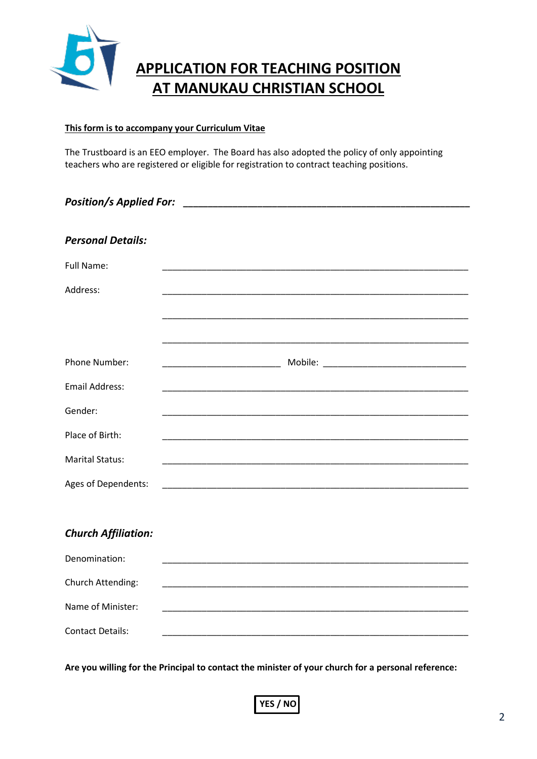

# **APPLICATION FOR TEACHING POSITION AT MANUKAU CHRISTIAN SCHOOL**

#### **This form is to accompany your Curriculum Vitae**

The Trustboard is an EEO employer. The Board has also adopted the policy of only appointing teachers who are registered or eligible for registration to contract teaching positions.

| <b>Position/s Applied For:</b> |                                                                                                                       |  |
|--------------------------------|-----------------------------------------------------------------------------------------------------------------------|--|
|                                |                                                                                                                       |  |
| <b>Personal Details:</b>       |                                                                                                                       |  |
| Full Name:                     |                                                                                                                       |  |
| Address:                       |                                                                                                                       |  |
|                                |                                                                                                                       |  |
|                                |                                                                                                                       |  |
| Phone Number:                  |                                                                                                                       |  |
| <b>Email Address:</b>          |                                                                                                                       |  |
| Gender:                        |                                                                                                                       |  |
| Place of Birth:                |                                                                                                                       |  |
| <b>Marital Status:</b>         |                                                                                                                       |  |
| Ages of Dependents:            |                                                                                                                       |  |
|                                |                                                                                                                       |  |
| <b>Church Affiliation:</b>     |                                                                                                                       |  |
| Denomination:                  |                                                                                                                       |  |
| Church Attending:              | <u> 1989 - Johann John Stein, markin film yn y brening yn y brening yn y brening yn y brening yn y brening yn y b</u> |  |
| Name of Minister:              |                                                                                                                       |  |
| <b>Contact Details:</b>        |                                                                                                                       |  |

**Are you willing for the Principal to contact the minister of your church for a personal reference:** 

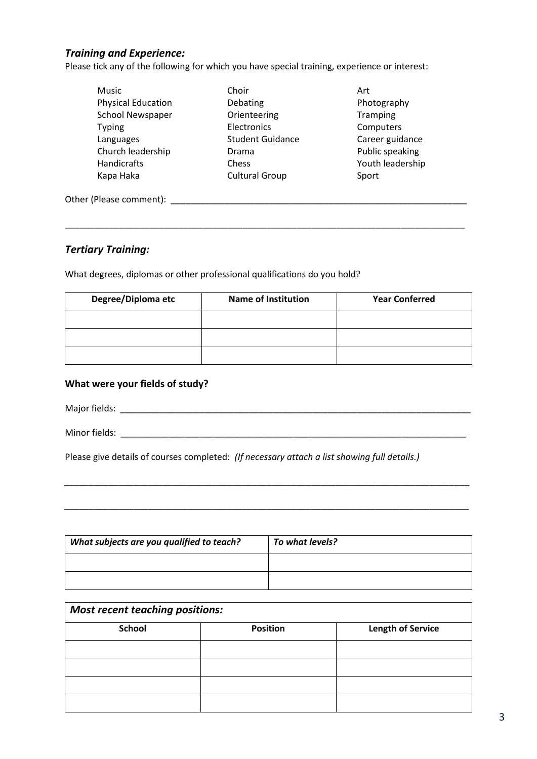#### *Training and Experience:*

Please tick any of the following for which you have special training, experience or interest:

| Music                     | Choir                   | Art              |
|---------------------------|-------------------------|------------------|
| <b>Physical Education</b> | Debating                | Photography      |
| <b>School Newspaper</b>   | Orienteering            | Tramping         |
| <b>Typing</b>             | Electronics             | Computers        |
| Languages                 | <b>Student Guidance</b> | Career guidance  |
| Church leadership         | Drama                   | Public speaking  |
| <b>Handicrafts</b>        | Chess                   | Youth leadership |
| Kapa Haka                 | <b>Cultural Group</b>   | Sport            |
| Other (Please comment):   |                         |                  |

\_\_\_\_\_\_\_\_\_\_\_\_\_\_\_\_\_\_\_\_\_\_\_\_\_\_\_\_\_\_\_\_\_\_\_\_\_\_\_\_\_\_\_\_\_\_\_\_\_\_\_\_\_\_\_\_\_\_\_\_\_\_\_\_\_\_\_\_\_\_\_\_\_\_\_\_\_\_\_\_\_

#### *Tertiary Training:*

What degrees, diplomas or other professional qualifications do you hold?

| Degree/Diploma etc | <b>Name of Institution</b> | <b>Year Conferred</b> |
|--------------------|----------------------------|-----------------------|
|                    |                            |                       |
|                    |                            |                       |
|                    |                            |                       |

#### **What were your fields of study?**

Major fields: \_\_\_\_\_\_\_\_\_\_\_\_\_\_\_\_\_\_\_\_\_\_\_\_\_\_\_\_\_\_\_\_\_\_\_\_\_\_\_\_\_\_\_\_\_\_\_\_\_\_\_\_\_\_\_\_\_\_\_\_\_\_\_\_\_\_\_\_\_\_\_

Minor fields: \_\_\_\_\_\_\_\_\_\_\_\_\_\_\_\_\_\_\_\_\_\_\_\_\_\_\_\_\_\_\_\_\_\_\_\_\_\_\_\_\_\_\_\_\_\_\_\_\_\_\_\_\_\_\_\_\_\_\_\_\_\_\_\_\_\_\_\_\_\_

Please give details of courses completed: *(If necessary attach a list showing full details.)*

| What subjects are you qualified to teach? | To what levels? |
|-------------------------------------------|-----------------|
|                                           |                 |
|                                           |                 |

*\_\_\_\_\_\_\_\_\_\_\_\_\_\_\_\_\_\_\_\_\_\_\_\_\_\_\_\_\_\_\_\_\_\_\_\_\_\_\_\_\_\_\_\_\_\_\_\_\_\_\_\_\_\_\_\_\_\_\_\_\_\_\_\_\_\_\_\_\_\_\_\_\_\_\_\_\_\_\_\_\_\_*

*\_\_\_\_\_\_\_\_\_\_\_\_\_\_\_\_\_\_\_\_\_\_\_\_\_\_\_\_\_\_\_\_\_\_\_\_\_\_\_\_\_\_\_\_\_\_\_\_\_\_\_\_\_\_\_\_\_\_\_\_\_\_\_\_\_\_\_\_\_\_\_\_\_\_\_\_\_\_\_\_\_\_*

| <b>Most recent teaching positions:</b> |                 |                          |  |
|----------------------------------------|-----------------|--------------------------|--|
| <b>School</b>                          | <b>Position</b> | <b>Length of Service</b> |  |
|                                        |                 |                          |  |
|                                        |                 |                          |  |
|                                        |                 |                          |  |
|                                        |                 |                          |  |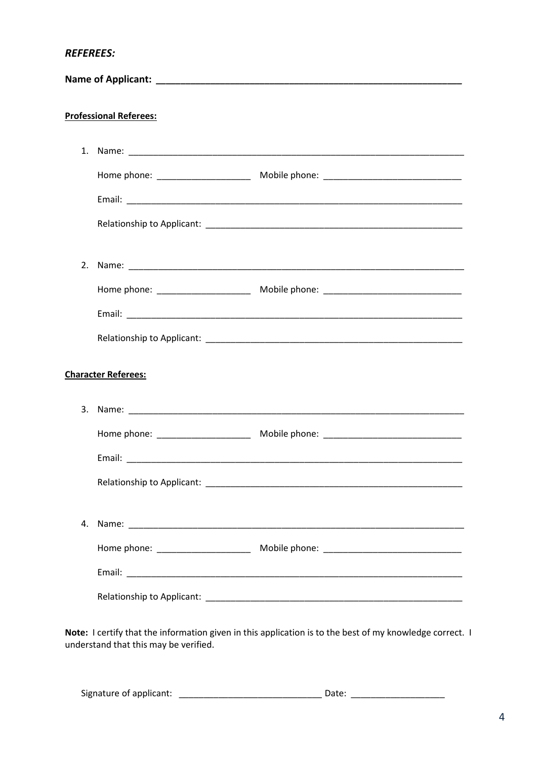**Professional Referees:** 1. Name: Relationship to Applicant: Note that the state of the state of the state of the state of the state of the state of the state of the state of the state of the state of the state of the state of the state of the state of the Email: \_\_\_\_\_\_\_\_\_\_\_\_\_ Relationship to Applicant: Note that the state of the state of the state of the state of the state of the state of the state of the state of the state of the state of the state of the state of the state of the state of the **Character Referees:** Relationship to Applicant: Relationship to Applicant: Note that the set of the set of the set of the set of the set of the set of the set of the set of the set of the set of the set of the set of the set of the set of the set of the set of the set o

Note: I certify that the information given in this application is to the best of my knowledge correct. I understand that this may be verified.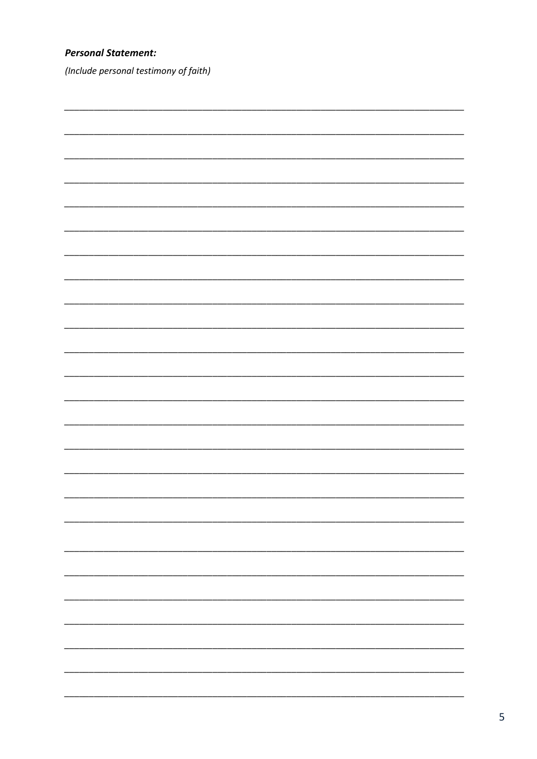# **Personal Statement:**

(Include personal testimony of faith)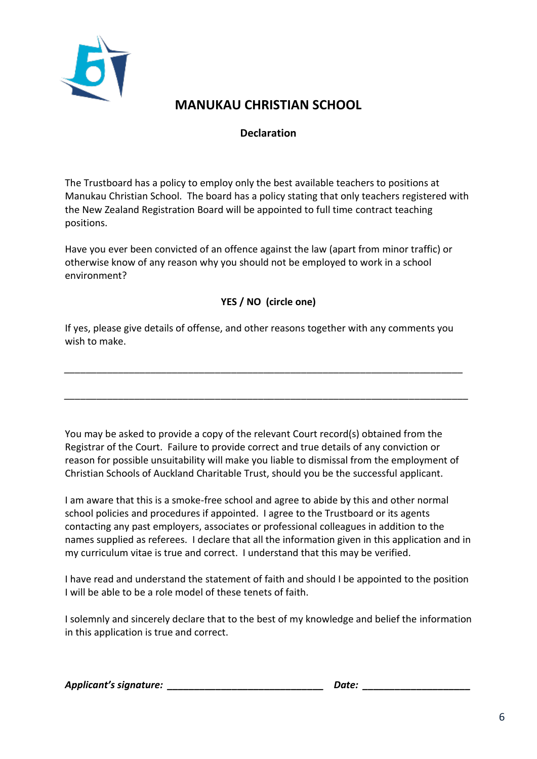

# **MANUKAU CHRISTIAN SCHOOL**

# **Declaration**

The Trustboard has a policy to employ only the best available teachers to positions at Manukau Christian School. The board has a policy stating that only teachers registered with the New Zealand Registration Board will be appointed to full time contract teaching positions.

Have you ever been convicted of an offence against the law (apart from minor traffic) or otherwise know of any reason why you should not be employed to work in a school environment?

# **YES / NO (circle one)**

If yes, please give details of offense, and other reasons together with any comments you wish to make.

*\_\_\_\_\_\_\_\_\_\_\_\_\_\_\_\_\_\_\_\_\_\_\_\_\_\_\_\_\_\_\_\_\_\_\_\_\_\_\_\_\_\_\_\_\_\_\_\_\_\_\_\_\_\_\_\_\_\_\_\_\_\_\_\_\_\_\_\_\_\_\_\_\_\_*

*\_\_\_\_\_\_\_\_\_\_\_\_\_\_\_\_\_\_\_\_\_\_\_\_\_\_\_\_\_\_\_\_\_\_\_\_\_\_\_\_\_\_\_\_\_\_\_\_\_\_\_\_\_\_\_\_\_\_\_\_\_\_\_\_\_\_\_\_\_\_\_\_\_\_\_*

You may be asked to provide a copy of the relevant Court record(s) obtained from the Registrar of the Court. Failure to provide correct and true details of any conviction or reason for possible unsuitability will make you liable to dismissal from the employment of Christian Schools of Auckland Charitable Trust, should you be the successful applicant.

I am aware that this is a smoke-free school and agree to abide by this and other normal school policies and procedures if appointed. I agree to the Trustboard or its agents contacting any past employers, associates or professional colleagues in addition to the names supplied as referees. I declare that all the information given in this application and in my curriculum vitae is true and correct. I understand that this may be verified.

I have read and understand the statement of faith and should I be appointed to the position I will be able to be a role model of these tenets of faith.

I solemnly and sincerely declare that to the best of my knowledge and belief the information in this application is true and correct.

*Applicant's signature: \_\_\_\_\_\_\_\_\_\_\_\_\_\_\_\_\_\_\_\_\_\_\_\_\_\_\_\_\_ Date: \_\_\_\_\_\_\_\_\_\_\_\_\_\_\_\_\_\_\_\_*